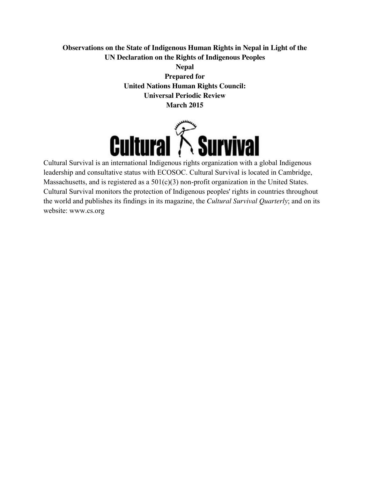# **Observations on the State of Indigenous Human Rights in Nepal in Light of the UN Declaration on the Rights of Indigenous Peoples**

**Nepal Prepared for United Nations Human Rights Council: Universal Periodic Review March 2015**



Cultural Survival is an international Indigenous rights organization with a global Indigenous leadership and consultative status with ECOSOC. Cultural Survival is located in Cambridge, Massachusetts, and is registered as a 501(c)(3) non-profit organization in the United States. Cultural Survival monitors the protection of Indigenous peoples' rights in countries throughout the world and publishes its findings in its magazine, the *Cultural Survival Quarterly*; and on its website: www.cs.org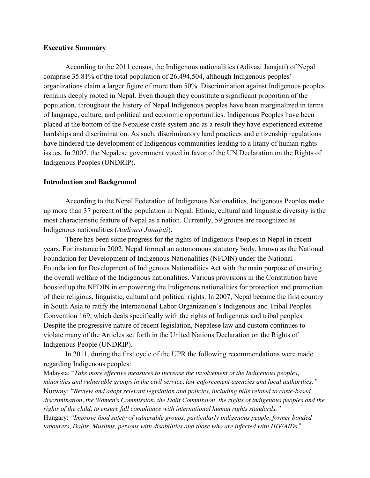## **Executive Summary**

According to the 2011 census, the Indigenous nationalities (Adivasi Janajati) of Nepal comprise 35.81% of the total population of 26,494,504, although Indigenous peoples' organizations claim a larger figure of more than 50%. Discrimination against Indigenous peoples remains deeply rooted in Nepal. Even though they constitute a significant proportion of the population, throughout the history of Nepal Indigenous peoples have been marginalized in terms of language, culture, and political and economic opportunities. Indigenous Peoples have been placed at the bottom of the Nepalese caste system and as a result they have experienced extreme hardships and discrimination. As such, discriminatory land practices and citizenship regulations have hindered the development of Indigenous communities leading to a litany of human rights issues. In 2007, the Nepalese government voted in favor of the UN Declaration on the Rights of Indigenous Peoples (UNDRIP).

#### **Introduction and Background**

According to the Nepal Federation of Indigenous Nationalities, Indigenous Peoples make up more than 37 percent of the population in Nepal. Ethnic, cultural and linguistic diversity is the most characteristic feature of Nepal as a nation. Currently, 59 groups are recognized as Indigenous nationalities (*Aadivasi Janajati*).

There has been some progress for the rights of Indigenous Peoples in Nepal in recent years. For instance in 2002, Nepal formed an autonomous statutory body, known as the National Foundation for Development of Indigenous Nationalities (NFDIN) under the National Foundation for Development of Indigenous Nationalities Act with the main purpose of ensuring the overall welfare of the Indigenous nationalities. Various provisions in the Constitution have boosted up the NFDIN in empowering the Indigenous nationalities for protection and promotion of their religious, linguistic, cultural and political rights. In 2007, Nepal became the first country in South Asia to ratify the International Labor Organization's Indigenous and Tribal Peoples Convention 169, which deals specifically with the rights of Indigenous and tribal peoples. Despite the progressive nature of recent legislation, Nepalese law and custom continues to violate many of the Articles set forth in the United Nations Declaration on the Rights of Indigenous People (UNDRIP).

In 2011, during the first cycle of the UPR the following recommendations were made regarding Indigenous peoples:

Malaysia: "*Take more effective measures to increase the involvement of the Indigenous peoples, minorities and vulnerable groups in the civil service, law enforcement agencies and local authorities."* Norway: "*Review and adopt relevant legislation and policies, including bills related to caste-based discrimination, the Women's Commission, the Dalit Commission, the rights of indigenous peoples and the rights of the child, to ensure full compliance with international human rights standards."* Hungary: *"Improve food safety of vulnerable groups, particularly indigenous people, former bonded labourers, Dalits, Muslims, persons with disabilities and those who are infected with HIV/AIDs.*"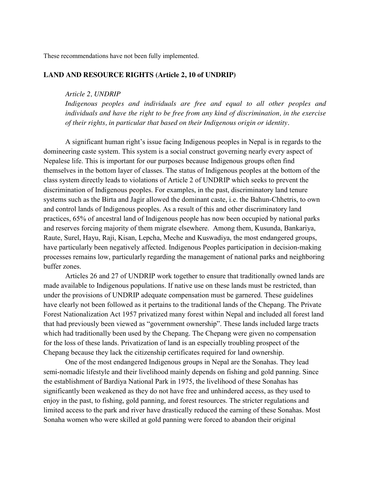These recommendations have not been fully implemented.

#### **LAND AND RESOURCE RIGHTS (Article 2, 10 of UNDRIP)**

#### *Article 2, UNDRIP*

*Indigenous peoples and individuals are free and equal to all other peoples and individuals and have the right to be free from any kind of discrimination, in the exercise of their rights, in particular that based on their Indigenous origin or identity.*

A significant human right's issue facing Indigenous peoples in Nepal is in regards to the domineering caste system. This system is a social construct governing nearly every aspect of Nepalese life. This is important for our purposes because Indigenous groups often find themselves in the bottom layer of classes. The status of Indigenous peoples at the bottom of the class system directly leads to violations of Article 2 of UNDRIP which seeks to prevent the discrimination of Indigenous peoples. For examples, in the past, discriminatory land tenure systems such as the Birta and Jagir allowed the dominant caste, i.e. the Bahun-Chhetris, to own and control lands of Indigenous peoples. As a result of this and other discriminatory land practices, 65% of ancestral land of Indigenous people has now been occupied by national parks and reserves forcing majority of them migrate elsewhere. Among them, Kusunda, Bankariya, Raute, Surel, Hayu, Raji, Kisan, Lepcha, Meche and Kuswadiya, the most endangered groups, have particularly been negatively affected. Indigenous Peoples participation in decision-making processes remains low, particularly regarding the management of national parks and neighboring buffer zones.

Articles 26 and 27 of UNDRIP work together to ensure that traditionally owned lands are made available to Indigenous populations. If native use on these lands must be restricted, than under the provisions of UNDRIP adequate compensation must be garnered. These guidelines have clearly not been followed as it pertains to the traditional lands of the Chepang. The Private Forest Nationalization Act 1957 privatized many forest within Nepal and included all forest land that had previously been viewed as "government ownership". These lands included large tracts which had traditionally been used by the Chepang. The Chepang were given no compensation for the loss of these lands. Privatization of land is an especially troubling prospect of the Chepang because they lack the citizenship certificates required for land ownership.

One of the most endangered Indigenous groups in Nepal are the Sonahas. They lead semi-nomadic lifestyle and their livelihood mainly depends on fishing and gold panning. Since the establishment of Bardiya National Park in 1975, the livelihood of these Sonahas has significantly been weakened as they do not have free and unhindered access, as they used to enjoy in the past, to fishing, gold panning, and forest resources. The stricter regulations and limited access to the park and river have drastically reduced the earning of these Sonahas. Most Sonaha women who were skilled at gold panning were forced to abandon their original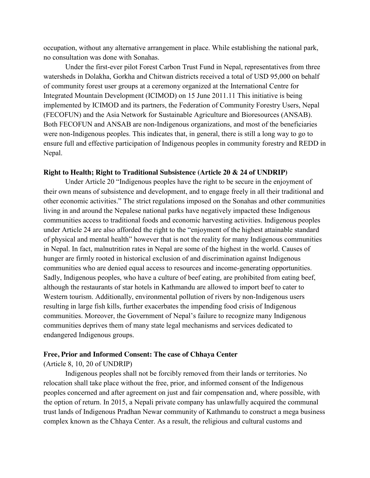occupation, without any alternative arrangement in place. While establishing the national park, no consultation was done with Sonahas.

Under the first-ever pilot Forest Carbon Trust Fund in Nepal, representatives from three watersheds in Dolakha, Gorkha and Chitwan districts received a total of USD 95,000 on behalf of community forest user groups at a ceremony organized at the International Centre for Integrated Mountain Development (ICIMOD) on 15 June 2011.11 This initiative is being implemented by ICIMOD and its partners, the Federation of Community Forestry Users, Nepal (FECOFUN) and the Asia Network for Sustainable Agriculture and Bioresources (ANSAB). Both FECOFUN and ANSAB are non-Indigenous organizations, and most of the beneficiaries were non-Indigenous peoples. This indicates that, in general, there is still a long way to go to ensure full and effective participation of Indigenous peoples in community forestry and REDD in Nepal.

## **Right to Health; Right to Traditional Subsistence (Article 20 & 24 of UNDRIP)**

Under Article 20 "Indigenous peoples have the right to be secure in the enjoyment of their own means of subsistence and development, and to engage freely in all their traditional and other economic activities." The strict regulations imposed on the Sonahas and other communities living in and around the Nepalese national parks have negatively impacted these Indigenous communities access to traditional foods and economic harvesting activities. Indigenous peoples under Article 24 are also afforded the right to the "enjoyment of the highest attainable standard of physical and mental health" however that is not the reality for many Indigenous communities in Nepal. In fact, malnutrition rates in Nepal are some of the highest in the world. Causes of hunger are firmly rooted in historical exclusion of and discrimination against Indigenous communities who are denied equal access to resources and income-generating opportunities. Sadly, Indigenous peoples, who have a culture of beef eating, are prohibited from eating beef, although the restaurants of star hotels in Kathmandu are allowed to import beef to cater to Western tourism. Additionally, environmental pollution of rivers by non-Indigenous users resulting in large fish kills, further exacerbates the impending food crisis of Indigenous communities. Moreover, the Government of Nepal's failure to recognize many Indigenous communities deprives them of many state legal mechanisms and services dedicated to endangered Indigenous groups.

#### **Free, Prior and Informed Consent: The case of Chhaya Center**

(Article 8, 10, 20 of UNDRIP)

Indigenous peoples shall not be forcibly removed from their lands or territories. No relocation shall take place without the free, prior, and informed consent of the Indigenous peoples concerned and after agreement on just and fair compensation and, where possible, with the option of return. In 2015, a Nepali private company has unlawfully acquired the communal trust lands of Indigenous Pradhan Newar community of Kathmandu to construct a mega business complex known as the Chhaya Center. As a result, the religious and cultural customs and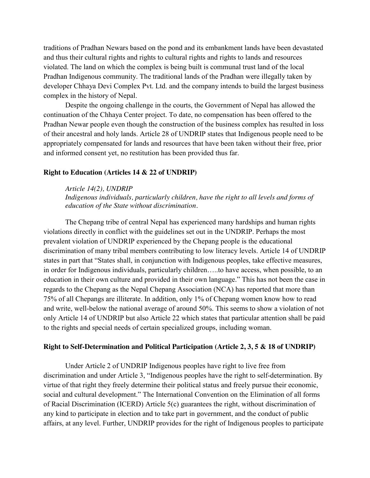traditions of Pradhan Newars based on the pond and its embankment lands have been devastated and thus their cultural rights and rights to cultural rights and rights to lands and resources violated. The land on which the complex is being built is communal trust land of the local Pradhan Indigenous community. The traditional lands of the Pradhan were illegally taken by developer Chhaya Devi Complex Pvt. Ltd. and the company intends to build the largest business complex in the history of Nepal.

Despite the ongoing challenge in the courts, the Government of Nepal has allowed the continuation of the Chhaya Center project. To date, no compensation has been offered to the Pradhan Newar people even though the construction of the business complex has resulted in loss of their ancestral and holy lands. Article 28 of UNDRIP states that Indigenous people need to be appropriately compensated for lands and resources that have been taken without their free, prior and informed consent yet, no restitution has been provided thus far.

#### **Right to Education (Articles 14 & 22 of UNDRIP)**

#### *Article 14(2), UNDRIP*

*Indigenous individuals, particularly children, have the right to all levels and forms of education of the State without discrimination.*

The Chepang tribe of central Nepal has experienced many hardships and human rights violations directly in conflict with the guidelines set out in the UNDRIP. Perhaps the most prevalent violation of UNDRIP experienced by the Chepang people is the educational discrimination of many tribal members contributing to low literacy levels. Article 14 of UNDRIP states in part that "States shall, in conjunction with Indigenous peoples, take effective measures, in order for Indigenous individuals, particularly children…..to have access, when possible, to an education in their own culture and provided in their own language." This has not been the case in regards to the Chepang as the Nepal Chepang Association (NCA) has reported that more than 75% of all Chepangs are illiterate. In addition, only 1% of Chepang women know how to read and write, well-below the national average of around 50%. This seems to show a violation of not only Article 14 of UNDRIP but also Article 22 which states that particular attention shall be paid to the rights and special needs of certain specialized groups, including woman.

#### **Right to Self-Determination and Political Participation (Article 2, 3, 5 & 18 of UNDRIP)**

Under Article 2 of UNDRIP Indigenous peoples have right to live free from discrimination and under Article 3, "Indigenous peoples have the right to self-determination. By virtue of that right they freely determine their political status and freely pursue their economic, social and cultural development." The International Convention on the Elimination of all forms of Racial Discrimination (ICERD) Article 5(c) guarantees the right, without discrimination of any kind to participate in election and to take part in government, and the conduct of public affairs, at any level. Further, UNDRIP provides for the right of Indigenous peoples to participate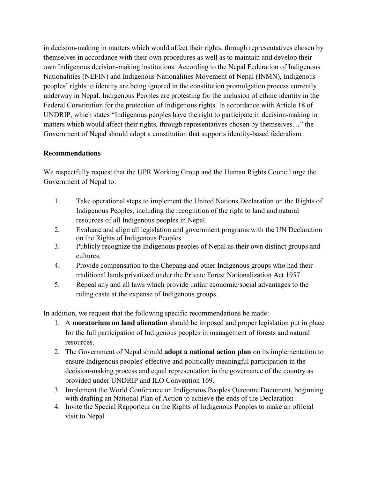in decision-making in matters which would affect their rights, through representatives chosen by themselves in accordance with their own procedures as well as to maintain and develop their own Indigenous decision-making institutions. According to the Nepal Federation of Indigenous Nationalities (NEFIN) and Indigenous Nationalities Movement of Nepal (INMN), Indigenous peoples' rights to identity are being ignored in the constitution promulgation process currently underway in Nepal. Indigenous Peoples are protesting for the inclusion of ethnic identity in the Federal Constitution for the protection of Indigenous rights. In accordance with Article 18 of UNDRIP, which states "Indigenous peoples have the right to participate in decision-making in matters which would affect their rights, through representatives chosen by themselves…" the Government of Nepal should adopt a constitution that supports identity-based federalism.

# **Recommendations**

We respectfully request that the UPR Working Group and the Human Rights Council urge the Government of Nepal to:

- 1. Take operational steps to implement the United Nations Declaration on the Rights of Indigenous Peoples, including the recognition of the right to land and natural resources of all Indigenous peoples in Nepal
- 2. Evaluate and align all legislation and government programs with the UN Declaration on the Rights of Indigenous Peoples
- 3. Publicly recognize the Indigenous peoples of Nepal as their own distinct groups and cultures.
- 4. Provide compensation to the Chepang and other Indigenous groups who had their traditional lands privatized under the Private Forest Nationalization Act 1957.
- 5. Repeal any and all laws which provide unfair economic/social advantages to the ruling caste at the expense of Indigenous groups.

In addition, we request that the following specific recommendations be made:

- 1. A **moratorium on land alienation** should be imposed and proper legislation put in place for the full participation of Indigenous peoples in management of forests and natural resources.
- 2. The Government of Nepal should **adopt a national action plan** on its implementation to ensure Indigenous peoples' effective and politically meaningful participation in the decision-making process and equal representation in the governance of the country as provided under UNDRIP and ILO Convention 169.
- 3. Implement the World Conference on Indigenous Peoples Outcome Document, beginning with drafting an National Plan of Action to achieve the ends of the Declaration
- 4. Invite the Special Rapporteur on the Rights of Indigenous Peoples to make an official visit to Nepal